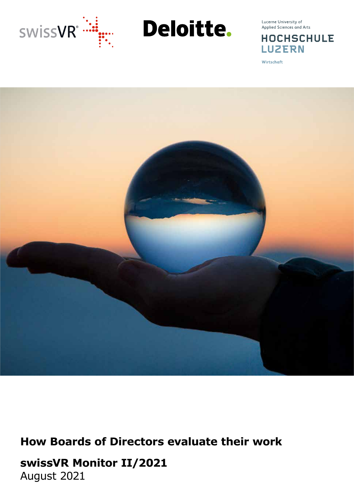

Deloitte.

Lucerne University of Applied Sciences and Arts

**HOCHSCHULE LUZERN** 

Wirtschaft



**How Boards of Directors evaluate their work**

**swissVR Monitor II/2021** August 2021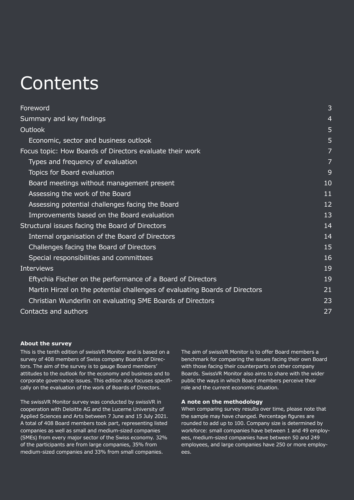# **Contents**

| Foreword                                                                    | 3  |
|-----------------------------------------------------------------------------|----|
| Summary and key findings                                                    | 4  |
| <b>Outlook</b>                                                              | 5  |
| Economic, sector and business outlook                                       | 5  |
| Focus topic: How Boards of Directors evaluate their work                    | 7  |
| Types and frequency of evaluation                                           | 7  |
| Topics for Board evaluation                                                 | 9  |
| Board meetings without management present                                   | 10 |
| Assessing the work of the Board                                             | 11 |
| Assessing potential challenges facing the Board                             | 12 |
| Improvements based on the Board evaluation                                  | 13 |
| Structural issues facing the Board of Directors                             | 14 |
| Internal organisation of the Board of Directors                             | 14 |
| Challenges facing the Board of Directors                                    | 15 |
| Special responsibilities and committees                                     | 16 |
| <b>Interviews</b>                                                           | 19 |
| Eftychia Fischer on the performance of a Board of Directors                 | 19 |
| Martin Hirzel on the potential challenges of evaluating Boards of Directors | 21 |
| Christian Wunderlin on evaluating SME Boards of Directors                   | 23 |
| Contacts and authors                                                        | 27 |

#### **About the survey**

This is the tenth edition of swissVR Monitor and is based on a survey of 408 members of Swiss company Boards of Directors. The aim of the survey is to gauge Board members' attitudes to the outlook for the economy and business and to corporate governance issues. This edition also focuses specifically on the evaluation of the work of Boards of Directors.

The swissVR Monitor survey was conducted by swissVR in cooperation with Deloitte AG and the Lucerne University of Applied Sciences and Arts between 7 June and 15 July 2021. A total of 408 Board members took part, representing listed companies as well as small and medium-sized companies (SMEs) from every major sector of the Swiss economy. 32% of the participants are from large companies, 35% from medium-sized companies and 33% from small companies.

The aim of swissVR Monitor is to offer Board members a benchmark for comparing the issues facing their own Board with those facing their counterparts on other company Boards. SwissVR Monitor also aims to share with the wider public the ways in which Board members perceive their role and the current economic situation.

#### **A note on the methodology**

When comparing survey results over time, please note that the sample may have changed. Percentage figures are rounded to add up to 100. Company size is determined by workforce: small companies have between 1 and 49 employees, medium-sized companies have between 50 and 249 employees, and large companies have 250 or more employees.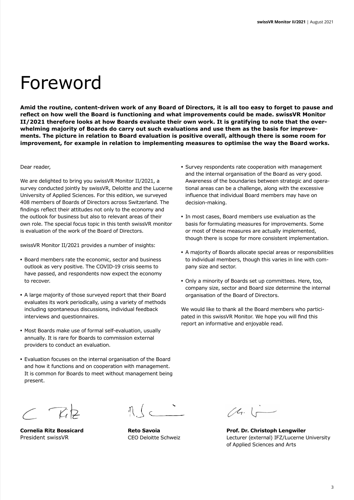## Foreword

**Amid the routine, content-driven work of any Board of Directors, it is all too easy to forget to pause and reflect on how well the Board is functioning and what improvements could be made. swissVR Monitor II/2021 therefore looks at how Boards evaluate their own work. It is gratifying to note that the overwhelming majority of Boards do carry out such evaluations and use them as the basis for improvements. The picture in relation to Board evaluation is positive overall, although there is some room for improvement, for example in relation to implementing measures to optimise the way the Board works.**

#### Dear reader,

We are delighted to bring you swissVR Monitor II/2021, a survey conducted jointly by swissVR, Deloitte and the Lucerne University of Applied Sciences. For this edition, we surveyed 408 members of Boards of Directors across Switzerland. The findings reflect their attitudes not only to the economy and the outlook for business but also to relevant areas of their own role. The special focus topic in this tenth swissVR monitor is evaluation of the work of the Board of Directors.

swissVR Monitor II/2021 provides a number of insights:

- **•** Board members rate the economic, sector and business outlook as very positive. The COVID-19 crisis seems to have passed, and respondents now expect the economy to recover.
- **•** A large majority of those surveyed report that their Board evaluates its work periodically, using a variety of methods including spontaneous discussions, individual feedback interviews and questionnaires.
- **•** Most Boards make use of formal self-evaluation, usually annually. It is rare for Boards to commission external providers to conduct an evaluation.
- **•** Evaluation focuses on the internal organisation of the Board and how it functions and on cooperation with management. It is common for Boards to meet without management being present.

 $C$   $Riz$ 

 $M_{\odot}$ 

**•** Survey respondents rate cooperation with management and the internal organisation of the Board as very good. Awareness of the boundaries between strategic and operational areas can be a challenge, along with the excessive influence that individual Board members may have on decision-making.

- **•** In most cases, Board members use evaluation as the basis for formulating measures for improvements. Some or most of these measures are actually implemented, though there is scope for more consistent implementation.
- **•** A majority of Boards allocate special areas or responsibilities to individual members, though this varies in line with company size and sector.
- **•** Only a minority of Boards set up committees. Here, too, company size, sector and Board size determine the internal organisation of the Board of Directors.

We would like to thank all the Board members who participated in this swissVR Monitor. We hope you will find this report an informative and enjoyable read.

 $(4.1)$ 

**Cornelia Ritz Bossicard Reto Savoia Prof. Dr. Christoph Lengwiler** President swissVR CEO Deloitte Schweiz Lecturer (external) IFZ/Lucerne University of Applied Sciences and Arts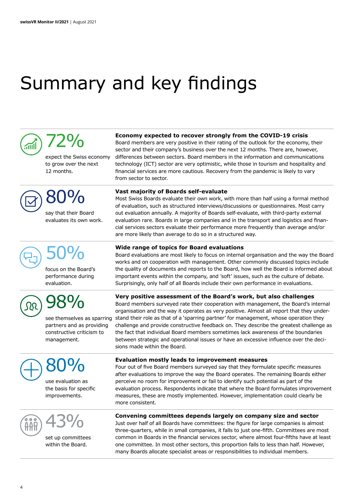# Summary and key findings





expect the Swiss economy to grow over the next 12 months.



say that their Board evaluates its own work.

# 50%

focus on the Board's performance during evaluation.

## 98%

see themselves as sparring partners and as providing constructive criticism to management.

80%



the basis for specific improvements.



set up committees within the Board.

#### **Economy expected to recover strongly from the COVID-19 crisis**

Board members are very positive in their rating of the outlook for the economy, their sector and their company's business over the next 12 months. There are, however, differences between sectors. Board members in the information and communications technology (ICT) sector are very optimistic, while those in tourism and hospitality and financial services are more cautious. Recovery from the pandemic is likely to vary from sector to sector.

#### **Vast majority of Boards self-evaluate**

Most Swiss Boards evaluate their own work, with more than half using a formal method of evaluation, such as structured interviews/discussions or questionnaires. Most carry out evaluation annually. A majority of Boards self-evaluate, with third-party external evaluation rare. Boards in large companies and in the transport and logistics and financial services sectors evaluate their performance more frequently than average and/or are more likely than average to do so in a structured way.

#### **Wide range of topics for Board evaluations**

Board evaluations are most likely to focus on internal organisation and the way the Board works and on cooperation with management. Other commonly discussed topics include the quality of documents and reports to the Board, how well the Board is informed about important events within the company, and 'soft' issues, such as the culture of debate. Surprisingly, only half of all Boards include their own performance in evaluations.

#### **Very positive assessment of the Board's work, but also challenges**

Board members surveyed rate their cooperation with management, the Board's internal organisation and the way it operates as very positive. Almost all report that they understand their role as that of a 'sparring partner' for management, whose operation they challenge and provide constructive feedback on. They describe the greatest challenge as the fact that individual Board members sometimes lack awareness of the boundaries between strategic and operational issues or have an excessive influence over the decisions made within the Board.

#### **Evaluation mostly leads to improvement measures**

Four out of five Board members surveyed say that they formulate specific measures after evaluations to improve the way the Board operates. The remaining Boards either perceive no room for improvement or fail to identify such potential as part of the evaluation process. Respondents indicate that where the Board formulates improvement measures, these are mostly implemented. However, implementation could clearly be more consistent.

#### **Convening committees depends largely on company size and sector**

Just over half of all Boards have committees: the figure for large companies is almost three-quarters, while in small companies, it falls to just one-fifth. Committees are most common in Boards in the financial services sector, where almost four-fifths have at least one committee. In most other sectors, this proportion falls to less than half. However, many Boards allocate specialist areas or responsibilities to individual members.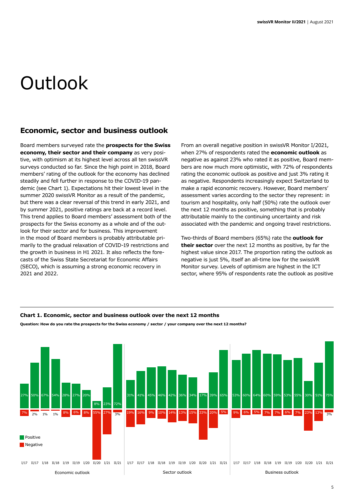# Outlook

## **Economic, sector and business outlook**

Board members surveyed rate the **prospects for the Swiss economy, their sector and their company** as very positive, with optimism at its highest level across all ten swissVR surveys conducted so far. Since the high point in 2018, Board members' rating of the outlook for the economy has declined steadily and fell further in response to the COVID-19 pandemic (see Chart 1). Expectations hit their lowest level in the summer 2020 swissVR Monitor as a result of the pandemic, but there was a clear reversal of this trend in early 2021, and by summer 2021, positive ratings are back at a record level. This trend applies to Board members' assessment both of the prospects for the Swiss economy as a whole and of the outlook for their sector and for business. This improvement in the mood of Board members is probably attributable primarily to the gradual relaxation of COVID-19 restrictions and the growth in business in H1 2021. It also reflects the forecasts of the Swiss State Secretariat for Economic Affairs (SECO), which is assuming a strong economic recovery in 2021 and 2022.

From an overall negative position in swissVR Monitor I/2021, when 27% of respondents rated the **economic outlook** as negative as against 23% who rated it as positive, Board members are now much more optimistic, with 72% of respondents rating the economic outlook as positive and just 3% rating it as negative. Respondents increasingly expect Switzerland to make a rapid economic recovery. However, Board members' assessment varies according to the sector they represent: in tourism and hospitality, only half (50%) rate the outlook over the next 12 months as positive, something that is probably attributable mainly to the continuing uncertainty and risk associated with the pandemic and ongoing travel restrictions.

Two-thirds of Board members (65%) rate the **outlook for their sector** over the next 12 months as positive, by far the highest value since 2017. The proportion rating the outlook as negative is just 5%, itself an all-time low for the swissVR Monitor survey. Levels of optimism are highest in the ICT sector, where 95% of respondents rate the outlook as positive

#### **Chart 1. Economic, sector and business outlook over the next 12 months**

**Question: How do you rate the prospects for the Swiss economy / sector / your company over the next 12 months?**

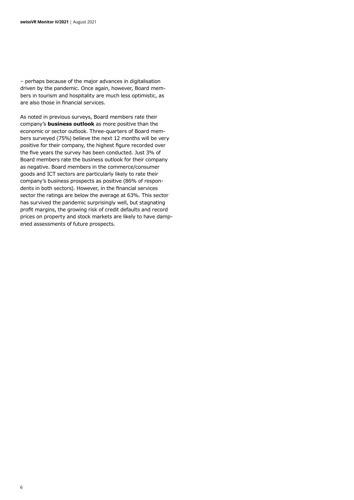– perhaps because of the major advances in digitalisation driven by the pandemic. Once again, however, Board members in tourism and hospitality are much less optimistic, as are also those in financial services.

As noted in previous surveys, Board members rate their company's **business outlook** as more positive than the economic or sector outlook. Three-quarters of Board members surveyed (75%) believe the next 12 months will be very positive for their company, the highest figure recorded over the five years the survey has been conducted. Just 3% of Board members rate the business outlook for their company as negative. Board members in the commerce/consumer goods and ICT sectors are particularly likely to rate their company's business prospects as positive (86% of respondents in both sectors). However, in the financial services sector the ratings are below the average at 63%. This sector has survived the pandemic surprisingly well, but stagnating profit margins, the growing risk of credit defaults and record prices on property and stock markets are likely to have dampened assessments of future prospects.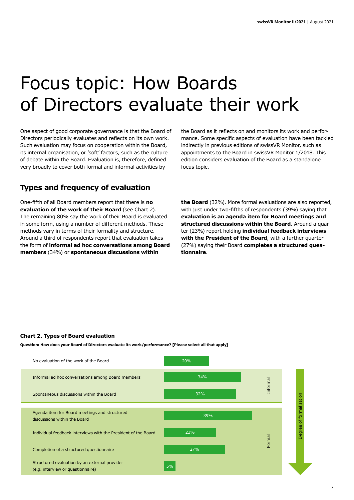# Focus topic: How Boards of Directors evaluate their work

One aspect of good corporate governance is that the Board of Directors periodically evaluates and reflects on its own work. Such evaluation may focus on cooperation within the Board, its internal organisation, or 'soft' factors, such as the culture of debate within the Board. Evaluation is, therefore, defined very broadly to cover both formal and informal activities by

the Board as it reflects on and monitors its work and performance. Some specific aspects of evaluation have been tackled indirectly in previous editions of swissVR Monitor, such as appointments to the Board in swissVR Monitor 1/2018. This edition considers evaluation of the Board as a standalone focus topic.

## **Types and frequency of evaluation**

One-fifth of all Board members report that there is **no evaluation of the work of their Board** (see Chart 2). The remaining 80% say the work of their Board is evaluated in some form, using a number of different methods. These methods vary in terms of their formality and structure. Around a third of respondents report that evaluation takes the form of **informal ad hoc conversations among Board members** (34%) or **spontaneous discussions within** 

**the Board** (32%). More formal evaluations are also reported, with just under two-fifths of respondents (39%) saying that **evaluation is an agenda item for Board meetings and structured discussions within the Board**. Around a quarter (23%) report holding **individual feedback interviews with the President of the Board**, with a further quarter (27%) saying their Board **completes a structured questionnaire**.

### **Chart 2. Types of Board evaluation**

**Question: How does your Board of Directors evaluate its work/performance? [Please select all that apply]**

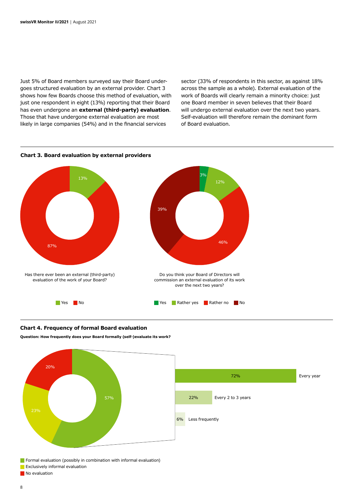Just 5% of Board members surveyed say their Board undergoes structured evaluation by an external provider. Chart 3 shows how few Boards choose this method of evaluation, with just one respondent in eight (13%) reporting that their Board has even undergone an **external (third-party) evaluation**. Those that have undergone external evaluation are most likely in large companies (54%) and in the financial services

sector (33% of respondents in this sector, as against 18% across the sample as a whole). External evaluation of the work of Boards will clearly remain a minority choice: just one Board member in seven believes that their Board will undergo external evaluation over the next two years. Self-evaluation will therefore remain the dominant form of Board evaluation.



#### **Chart 3. Board evaluation by external providers**

#### **Chart 4. Frequency of formal Board evaluation**

**Question: How frequently does your Board formally (self-)evaluate its work?**



**Formal evaluation (possibly in combination with informal evaluation)** 

**Exclusively informal evaluation** 

No evaluation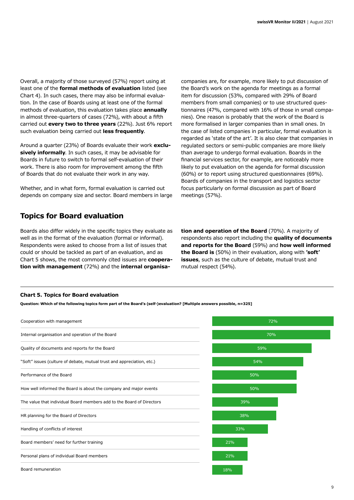Overall, a majority of those surveyed (57%) report using at least one of the **formal methods of evaluation** listed (see Chart 4). In such cases, there may also be informal evaluation. In the case of Boards using at least one of the formal methods of evaluation, this evaluation takes place **annually** in almost three-quarters of cases (72%), with about a fifth carried out **every two to three years** (22%). Just 6% report such evaluation being carried out **less frequently**.

Around a quarter (23%) of Boards evaluate their work **exclusively informally**. In such cases, it may be advisable for Boards in future to switch to formal self-evaluation of their work. There is also room for improvement among the fifth of Boards that do not evaluate their work in any way.

Whether, and in what form, formal evaluation is carried out depends on company size and sector. Board members in large companies are, for example, more likely to put discussion of the Board's work on the agenda for meetings as a formal item for discussion (53%, compared with 29% of Board members from small companies) or to use structured questionnaires (47%, compared with 16% of those in small companies). One reason is probably that the work of the Board is more formalised in larger companies than in small ones. In the case of listed companies in particular, formal evaluation is regarded as 'state of the art'. It is also clear that companies in regulated sectors or semi-public companies are more likely than average to undergo formal evaluation. Boards in the financial services sector, for example, are noticeably more likely to put evaluation on the agenda for formal discussion (60%) or to report using structured questionnaires (69%). Boards of companies in the transport and logistics sector focus particularly on formal discussion as part of Board meetings (57%).

## **Topics for Board evaluation**

Boards also differ widely in the specific topics they evaluate as well as in the format of the evaluation (formal or informal). Respondents were asked to choose from a list of issues that could or should be tackled as part of an evaluation, and as Chart 5 shows, the most commonly cited issues are **cooperation with management** (72%) and the **internal organisa-**

**tion and operation of the Board** (70%). A majority of respondents also report including the **quality of documents and reports for the Board** (59%) and **how well informed the Board is** (50%) in their evaluation, along with **'soft' issues**, such as the culture of debate, mutual trust and mutual respect (54%).

#### **Chart 5. Topics for Board evaluation**

**Question: Which of the following topics form part of the Board's (self-)evaluation? [Multiple answers possible, n=325]**

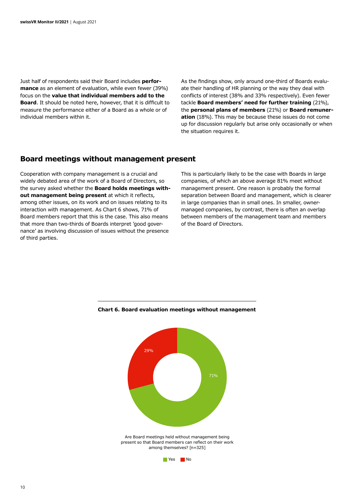Just half of respondents said their Board includes **performance** as an element of evaluation, while even fewer (39%) focus on the **value that individual members add to the Board**. It should be noted here, however, that it is difficult to measure the performance either of a Board as a whole or of individual members within it.

As the findings show, only around one-third of Boards evaluate their handling of HR planning or the way they deal with conflicts of interest (38% and 33% respectively). Even fewer tackle **Board members' need for further training** (21%), the **personal plans of members** (21%) or **Board remuneration** (18%). This may be because these issues do not come up for discussion regularly but arise only occasionally or when the situation requires it.

### **Board meetings without management present**

Cooperation with company management is a crucial and widely debated area of the work of a Board of Directors, so the survey asked whether the **Board holds meetings without management being present** at which it reflects, among other issues, on its work and on issues relating to its interaction with management. As Chart 6 shows, 71% of Board members report that this is the case. This also means that more than two-thirds of Boards interpret 'good governance' as involving discussion of issues without the presence of third parties.

This is particularly likely to be the case with Boards in large companies, of which an above average 81% meet without management present. One reason is probably the formal separation between Board and management, which is clearer in large companies than in small ones. In smaller, ownermanaged companies, by contrast, there is often an overlap between members of the management team and members of the Board of Directors.



**Chart 6. Board evaluation meetings without management**

Are Board meetings held without management being present so that Board members can reflect on their work among themselves? [n=325]

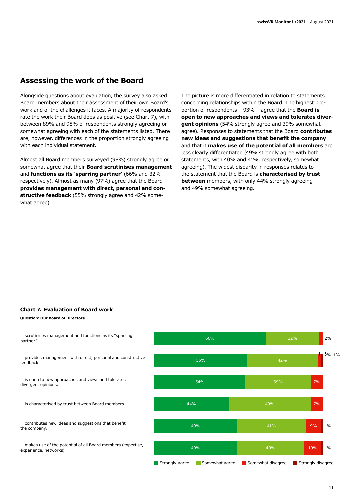## **Assessing the work of the Board**

Alongside questions about evaluation, the survey also asked Board members about their assessment of their own Board's work and of the challenges it faces. A majority of respondents rate the work their Board does as positive (see Chart 7), with between 89% and 98% of respondents strongly agreeing or somewhat agreeing with each of the statements listed. There are, however, differences in the proportion strongly agreeing with each individual statement.

Almost all Board members surveyed (98%) strongly agree or somewhat agree that their **Board scrutinises management**  and **functions as its 'sparring partner'** (66% and 32% respectively). Almost as many (97%) agree that the Board **provides management with direct, personal and constructive feedback** (55% strongly agree and 42% somewhat agree).

The picture is more differentiated in relation to statements concerning relationships within the Board. The highest proportion of respondents – 93% – agree that the **Board is open to new approaches and views and tolerates divergent opinions** (54% strongly agree and 39% somewhat agree). Responses to statements that the Board **contributes new ideas and suggestions that benefit the company**  and that it **makes use of the potential of all members** are less clearly differentiated (49% strongly agree with both statements, with 40% and 41%, respectively, somewhat agreeing). The widest disparity in responses relates to the statement that the Board is **characterised by trust between** members, with only 44% strongly agreeing and 49% somewhat agreeing.

#### **Chart 7. Evaluation of Board work**

**Question: Our Board of Directors …**

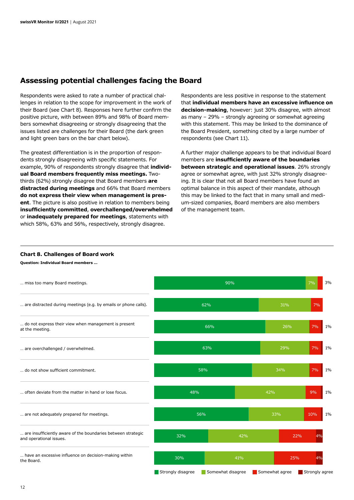### **Assessing potential challenges facing the Board**

Respondents were asked to rate a number of practical challenges in relation to the scope for improvement in the work of their Board (see Chart 8). Responses here further confirm the positive picture, with between 89% and 98% of Board members somewhat disagreeing or strongly disagreeing that the issues listed are challenges for their Board (the dark green and light green bars on the bar chart below).

The greatest differentiation is in the proportion of respondents strongly disagreeing with specific statements. For example, 90% of respondents strongly disagree that **individual Board members frequently miss meetings.** Twothirds (62%) strongly disagree that Board members **are distracted during meetings** and 66% that Board members **do not express their view when management is present**. The picture is also positive in relation to members being **insufficiently committed**, **overchallenged/overwhelmed**  or **inadequately prepared for meetings**, statements with which 58%, 63% and 56%, respectively, strongly disagree.

Respondents are less positive in response to the statement that **individual members have an excessive influence on decision-making**, however: just 30% disagree, with almost as many – 29% – strongly agreeing or somewhat agreeing with this statement. This may be linked to the dominance of the Board President, something cited by a large number of respondents (see Chart 11).

A further major challenge appears to be that individual Board members are **insufficiently aware of the boundaries between strategic and operational issues**. 26% strongly agree or somewhat agree, with just 32% strongly disagreeing. It is clear that not all Board members have found an optimal balance in this aspect of their mandate, although this may be linked to the fact that in many small and medium-sized companies, Board members are also members of the management team.

#### **Chart 8. Challenges of Board work**

**Question: Individual Board members …**

| miss too many Board meetings.                                                           |                   |                   | 7%             | 3%             |       |
|-----------------------------------------------------------------------------------------|-------------------|-------------------|----------------|----------------|-------|
| are distracted during meetings (e.g. by emails or phone calls).                         | 62%               | 31%               | 7%             |                |       |
| do not express their view when management is present<br>at the meeting.                 | 66%               |                   | 26%            | 7%             | $1\%$ |
| are overchallenged / overwhelmed.                                                       | 63%               | 29%               | 7%             | $1\%$          |       |
| do not show sufficient commitment.                                                      | 58%               |                   | 34%            | 7%             | $1\%$ |
| often deviate from the matter in hand or lose focus.                                    | 48%               |                   | 42%            | 9%             | $1\%$ |
| are not adequately prepared for meetings.                                               | 56%               |                   | 33%            | 10%            | $1\%$ |
| are insufficiently aware of the boundaries between strategic<br>and operational issues. | 32%               | 42%               |                | 22%            | 4%    |
| have an excessive influence on decision-making within<br>the Board.                     | 30%               | 41%               |                | 25%            | 4%    |
|                                                                                         | Strongly disagree | Somewhat disagree | Somewhat agree | Strongly agree |       |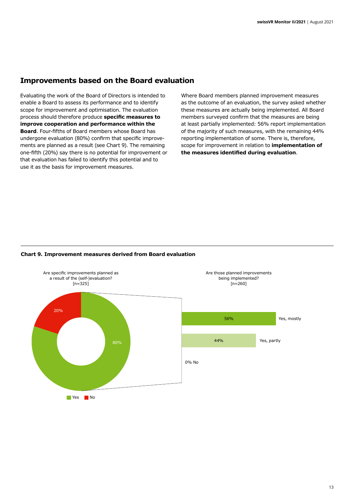## **Improvements based on the Board evaluation**

Evaluating the work of the Board of Directors is intended to enable a Board to assess its performance and to identify scope for improvement and optimisation. The evaluation process should therefore produce **specific measures to improve cooperation and performance within the Board**. Four-fifths of Board members whose Board has undergone evaluation (80%) confirm that specific improvements are planned as a result (see Chart 9). The remaining one-fifth (20%) say there is no potential for improvement or that evaluation has failed to identify this potential and to use it as the basis for improvement measures.

Where Board members planned improvement measures as the outcome of an evaluation, the survey asked whether these measures are actually being implemented. All Board members surveyed confirm that the measures are being at least partially implemented: 56% report implementation of the majority of such measures, with the remaining 44% reporting implementation of some. There is, therefore, scope for improvement in relation to **implementation of the measures identified during evaluation**.

#### **Chart 9. Improvement measures derived from Board evaluation**

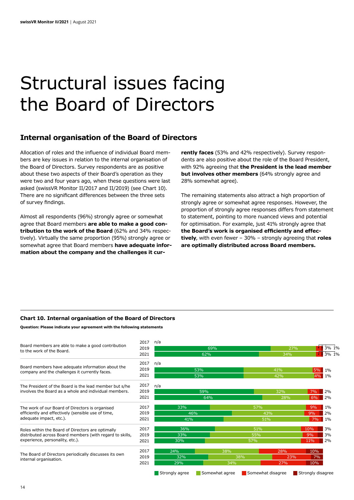# Structural issues facing the Board of Directors

### **Internal organisation of the Board of Directors**

Allocation of roles and the influence of individual Board members are key issues in relation to the internal organisation of the Board of Directors. Survey respondents are as positive about these two aspects of their Board's operation as they were two and four years ago, when these questions were last asked (swissVR Monitor II/2017 and II/2019) (see Chart 10). There are no significant differences between the three sets of survey findings.

Almost all respondents (96%) strongly agree or somewhat agree that Board members **are able to make a good contribution to the work of the Board** (62% and 34% respectively). Virtually the same proportion (95%) strongly agree or somewhat agree that Board members **have adequate information about the company and the challenges it cur-** **rently faces** (53% and 42% respectively). Survey respondents are also positive about the role of the Board President, with 92% agreeing that **the President is the lead member but involves other members** (64% strongly agree and 28% somewhat agree).

The remaining statements also attract a high proportion of strongly agree or somewhat agree responses. However, the proportion of strongly agree responses differs from statement to statement, pointing to more nuanced views and potential for optimisation. For example, just 41% strongly agree that **the Board's work is organised efficiently and effectively**, with even fewer – 30% – strongly agreeing that **roles are optimally distributed across Board members.**

#### **Chart 10. Internal organisation of the Board of Directors**

**Question: Please indicate your agreement with the following statements**

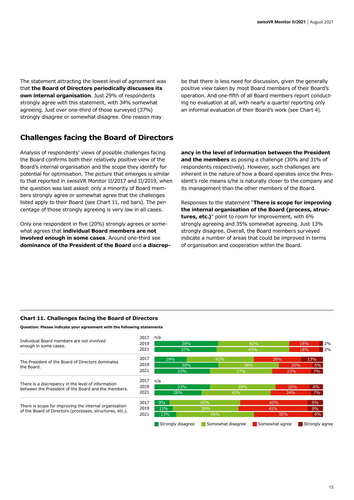The statement attracting the lowest level of agreement was that **the Board of Directors periodically discusses its own internal organisation**. Just 29% of respondents strongly agree with this statement, with 34% somewhat agreeing. Just over one-third of those surveyed (37%) strongly disagree or somewhat disagree. One reason may

be that there is less need for discussion, given the generally positive view taken by most Board members of their Board's operation. And one-fifth of all Board members report conducting no evaluation at all, with nearly a quarter reporting only an informal evaluation of their Board's work (see Chart 4).

## **Challenges facing the Board of Directors**

Analysis of respondents' views of possible challenges facing the Board confirms both their relatively positive view of the Board's internal organisation and the scope they identify for potential for optimisation. The picture that emerges is similar to that reported in swissVR Monitor II/2017 and II/2019, when the question was last asked: only a minority of Board members strongly agree or somewhat agree that the challenges listed apply to their Board (see Chart 11, red bars). The percentage of those strongly agreeing is very low in all cases.

Only one respondent in five (20%) strongly agrees or somewhat agrees that **individual Board members are not involved enough in some cases**. Around one-third see **dominance of the President of the Board** and **a discrep-**

**ancy in the level of information between the President and the members** as posing a challenge (30% and 31% of respondents respectively). However, such challenges are inherent in the nature of how a Board operates since the President's role means s/he is naturally closer to the company and its management than the other members of the Board.

Responses to the statement "**There is scope for improving the internal organisation of the Board (process, structures, etc.)**" point to room for improvement, with 6% strongly agreeing and 35% somewhat agreeing. Just 13% strongly disagree. Overall, the Board members surveyed indicate a number of areas that could be improved in terms of organisation and cooperation within the Board.

#### **Chart 11. Challenges facing the Board of Directors**

**Question: Please indicate your agreement with the following statements**

| Individual Board members are not involved<br>enough in some cases.                                                 | 2017<br>2019<br>2021                   | n/a<br>38%<br>37% |     | 42%<br>43%     |     | 18%<br>18%     | 2%<br>2% |
|--------------------------------------------------------------------------------------------------------------------|----------------------------------------|-------------------|-----|----------------|-----|----------------|----------|
| The President of the Board of Directors dominates<br>the Board.                                                    | 2017                                   | 19%               | 40% |                | 28% |                | 13%      |
|                                                                                                                    | 2019                                   | 38%               |     | 36%            |     | 20%            | 6%       |
|                                                                                                                    | 2021                                   | 33%               |     | 37%            |     | 23%            | $7\%$    |
|                                                                                                                    | 2017                                   | n/a               |     |                |     |                |          |
| There is a discrepancy in the level of information<br>between the President of the Board and the members.          | 2019                                   | 33%               |     | 39%            |     | 20%            | 8%       |
|                                                                                                                    | 2021                                   | 28%               |     | 41%            |     | 24%            | 7%       |
| There is scope for improving the internal organisation<br>of the Board of Directors (processes, structures, etc.). | 2017                                   | 9%                | 42% |                | 40% |                | 9%       |
|                                                                                                                    | 2019                                   | 11%               | 39% |                | 41% |                | 9%       |
|                                                                                                                    | 2021                                   | 13%               | 46% |                | 35% |                | 6%       |
|                                                                                                                    | Strongly disagree<br>Somewhat disagree |                   |     | Somewhat agree |     | Strongly agree |          |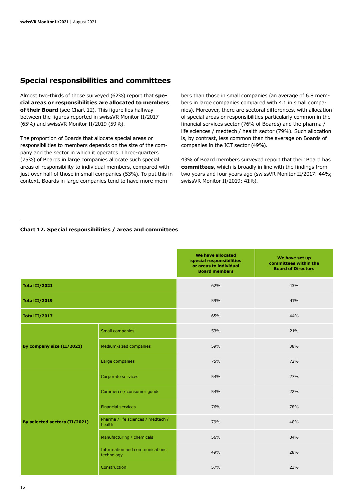## **Special responsibilities and committees**

Almost two-thirds of those surveyed (62%) report that **special areas or responsibilities are allocated to members of their Board** (see Chart 12). This figure lies halfway between the figures reported in swissVR Monitor II/2017 (65%) and swissVR Monitor II/2019 (59%).

The proportion of Boards that allocate special areas or responsibilities to members depends on the size of the company and the sector in which it operates. Three-quarters (75%) of Boards in large companies allocate such special areas of responsibility to individual members, compared with just over half of those in small companies (53%). To put this in context, Boards in large companies tend to have more members than those in small companies (an average of 6.8 members in large companies compared with 4.1 in small companies). Moreover, there are sectoral differences, with allocation of special areas or responsibilities particularly common in the financial services sector (76% of Boards) and the pharma / life sciences / medtech / health sector (79%). Such allocation is, by contrast, less common than the average on Boards of companies in the ICT sector (49%).

43% of Board members surveyed report that their Board has **committees**, which is broadly in line with the findings from two years and four years ago (swissVR Monitor II/2017: 44%; swissVR Monitor II/2019: 41%).

#### **Chart 12. Special responsibilities / areas and committees**

|                               |                                              | We have allocated<br>special responsibilities<br>or areas to individual<br><b>Board members</b> | We have set up<br>committees within the<br><b>Board of Directors</b> |  |
|-------------------------------|----------------------------------------------|-------------------------------------------------------------------------------------------------|----------------------------------------------------------------------|--|
| Total II/2021                 |                                              | 62%                                                                                             | 43%                                                                  |  |
| Total II/2019                 |                                              | 59%                                                                                             | 41%                                                                  |  |
| Total II/2017                 |                                              | 65%                                                                                             | 44%                                                                  |  |
| By company size (II/2021)     | Small companies                              | 53%                                                                                             | 21%                                                                  |  |
|                               | Medium-sized companies                       | 59%                                                                                             | 38%                                                                  |  |
|                               | Large companies                              | 75%                                                                                             | 72%                                                                  |  |
|                               | Corporate services                           | 54%                                                                                             | 27%                                                                  |  |
|                               | Commerce / consumer goods                    | 54%                                                                                             | 22%                                                                  |  |
| By selected sectors (II/2021) | <b>Financial services</b>                    | 76%                                                                                             | 78%                                                                  |  |
|                               | Pharma / life sciences / medtech /<br>health | 79%                                                                                             | 48%                                                                  |  |
|                               | Manufacturing / chemicals                    | 56%                                                                                             | 34%                                                                  |  |
|                               | Information and communications<br>technology | 49%                                                                                             | 28%                                                                  |  |
|                               | Construction                                 | 57%                                                                                             | 23%                                                                  |  |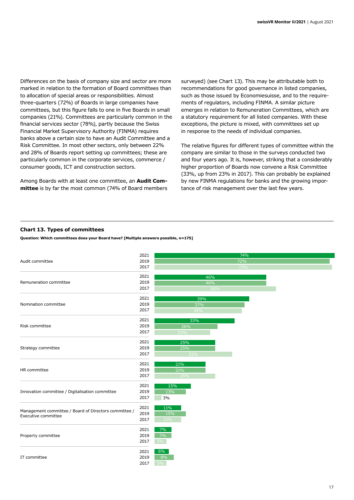Differences on the basis of company size and sector are more marked in relation to the formation of Board committees than to allocation of special areas or responsibilities. Almost three-quarters (72%) of Boards in large companies have committees, but this figure falls to one in five Boards in small companies (21%). Committees are particularly common in the financial services sector (78%), partly because the Swiss Financial Market Supervisory Authority (FINMA) requires banks above a certain size to have an Audit Committee and a Risk Committee. In most other sectors, only between 22% and 28% of Boards report setting up committees; these are particularly common in the corporate services, commerce / consumer goods, ICT and construction sectors.

Among Boards with at least one committee, an **Audit Committee** is by far the most common (74% of Board members surveyed) (see Chart 13). This may be attributable both to recommendations for good governance in listed companies, such as those issued by Economiesuisse, and to the requirements of regulators, including FINMA. A similar picture emerges in relation to Remuneration Committees, which are a statutory requirement for all listed companies. With these exceptions, the picture is mixed, with committees set up in response to the needs of individual companies.

The relative figures for different types of committee within the company are similar to those in the surveys conducted two and four years ago. It is, however, striking that a considerably higher proportion of Boards now convene a Risk Committee (33%, up from 23% in 2017). This can probably be explained by new FINMA regulations for banks and the growing importance of risk management over the last few years.

#### **Chart 13. Types of committees**

**Question: Which committees does your Board have? [Multiple answers possible, n=175]**

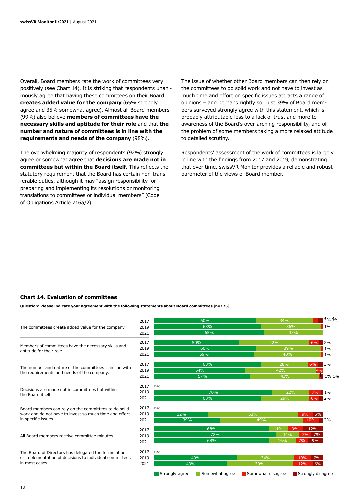Overall, Board members rate the work of committees very positively (see Chart 14). It is striking that respondents unanimously agree that having these committees on their Board **creates added value for the company** (65% strongly agree and 35% somewhat agree). Almost all Board members (99%) also believe **members of committees have the necessary skills and aptitude for their role** and that **the number and nature of committees is in line with the requirements and needs of the company** (98%).

The overwhelming majority of respondents (92%) strongly agree or somewhat agree that **decisions are made not in committees but within the Board itself**. This reflects the statutory requirement that the Board has certain non-transferable duties, although it may "assign responsibility for preparing and implementing its resolutions or monitoring translations to committees or individual members" (Code of Obligations Article 716a/2).

The issue of whether other Board members can then rely on the committees to do solid work and not have to invest as much time and effort on specific issues attracts a range of opinions – and perhaps rightly so. Just 39% of Board members surveyed strongly agree with this statement, which is probably attributable less to a lack of trust and more to awareness of the Board's over-arching responsibility, and of the problem of some members taking a more relaxed attitude to detailed scrutiny.

Respondents' assessment of the work of committees is largely in line with the findings from 2017 and 2019, demonstrating that over time, swissVR Monitor provides a reliable and robust barometer of the views of Board member.

#### **Chart 14. Evaluation of committees**

**Question: Please indicate your agreement with the following statements about Board committees [n=175]**

|                                                                                                       | 2017 |                | 60%            |                   | 34%       |                   | 3% 3% |
|-------------------------------------------------------------------------------------------------------|------|----------------|----------------|-------------------|-----------|-------------------|-------|
| The committees create added value for the company.                                                    | 2019 | 63%            |                |                   | 36%       |                   | $1\%$ |
|                                                                                                       |      |                | 65%            |                   | 35%       |                   |       |
| Members of committees have the necessary skills and<br>aptitude for their role.                       | 2017 |                | 50%            |                   | 42%       | 6%                | 2%    |
|                                                                                                       | 2019 |                | 60%            |                   | 39%       |                   | $1\%$ |
|                                                                                                       | 2021 |                | 59%            |                   | 40%       |                   | $1\%$ |
| The number and nature of the committees is in line with<br>the requirements and needs of the company. | 2017 |                | 63%            |                   | 28%       | 6%                | 3%    |
|                                                                                                       | 2019 |                | 54%            |                   | 42%       | 4%                |       |
|                                                                                                       | 2021 |                | 57%            |                   | 41%       |                   | 1% 1% |
| Decisions are made not in committees but within<br>the Board itself.                                  | 2017 | n/a            |                |                   |           |                   |       |
|                                                                                                       | 2019 |                | 70%            |                   | 22%       | 7%                | 1%    |
|                                                                                                       | 2021 |                | 63%            |                   | 29%       | 6%                | 2%    |
| Board members can rely on the committees to do solid                                                  | 2017 | n/a            |                |                   |           |                   |       |
| work and do not have to invest so much time and effort                                                | 2019 | 32%            |                | 53%               |           | 6%<br>9%          |       |
| in specific issues.                                                                                   | 2021 | 39%            |                | 49%               |           | 10%               | 2%    |
|                                                                                                       | 2017 |                | 68%            |                   | 11%<br>9% | 12%               |       |
| All Board members receive committee minutes.                                                          | 2019 |                | 72%            |                   | 14%       | 7%<br>7%          |       |
|                                                                                                       | 2021 |                | 68%            |                   | 16%       | 7%<br>9%          |       |
| The Board of Directors has delegated the formulation                                                  | 2017 | n/a            |                |                   |           |                   |       |
| or implementation of decisions to individual committees                                               |      |                | 49%            | 34%               |           | 7%<br>10%         |       |
| in most cases.                                                                                        | 2021 |                | 43%            | 39%               |           | 12%<br>6%         |       |
|                                                                                                       |      | Strongly agree | Somewhat agree | Somewhat disagree |           | Strongly disagree |       |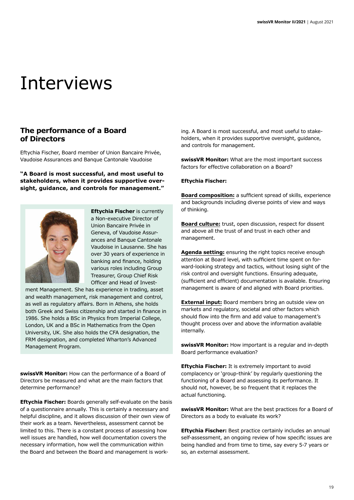# Interviews

## **The performance of a Board of Directors**

Eftychia Fischer, Board member of Union Bancaire Privée, Vaudoise Assurances and Banque Cantonale Vaudoise

**"A Board is most successful, and most useful to stakeholders, when it provides supportive oversight, guidance, and controls for management."**



**Eftychia Fischer** is currently a Non-executive Director of Union Bancaire Privée in Geneva, of Vaudoise Assurances and Banque Cantonale Vaudoise in Lausanne. She has over 30 years of experience in banking and finance, holding various roles including Group Treasurer, Group Chief Risk Officer and Head of Invest-

ment Management. She has experience in trading, asset and wealth management, risk management and control, as well as regulatory affairs. Born in Athens, she holds both Greek and Swiss citizenship and started in finance in 1986. She holds a BSc in Physics from Imperial College, London, UK and a BSc in Mathematics from the Open University, UK. She also holds the CFA designation, the FRM designation, and completed Wharton's Advanced Management Program.

**swissVR Monitor:** How can the performance of a Board of Directors be measured and what are the main factors that determine performance?

**Eftychia Fischer:** Boards generally self-evaluate on the basis of a questionnaire annually. This is certainly a necessary and helpful discipline, and it allows discussion of their own view of their work as a team. Nevertheless, assessment cannot be limited to this. There is a constant process of assessing how well issues are handled, how well documentation covers the necessary information, how well the communication within the Board and between the Board and management is work-

ing. A Board is most successful, and most useful to stakeholders, when it provides supportive oversight, guidance, and controls for management.

**swissVR Monitor:** What are the most important success factors for effective collaboration on a Board?

#### **Eftychia Fischer:**

**Board composition:** a sufficient spread of skills, experience and backgrounds including diverse points of view and ways of thinking.

**Board culture:** trust, open discussion, respect for dissent and above all the trust of and trust in each other and management.

**Agenda setting:** ensuring the right topics receive enough attention at Board level, with sufficient time spent on forward-looking strategy and tactics, without losing sight of the risk control and oversight functions. Ensuring adequate, (sufficient and efficient) documentation is available. Ensuring management is aware of and aligned with Board priorities.

**External input:** Board members bring an outside view on markets and regulatory, societal and other factors which should flow into the firm and add value to management's thought process over and above the information available internally.

**swissVR Monitor:** How important is a regular and in-depth Board performance evaluation?

**Eftychia Fischer:** It is extremely important to avoid complacency or 'group-think' by regularly questioning the functioning of a Board and assessing its performance. It should not, however, be so frequent that it replaces the actual functioning.

**swissVR Monitor:** What are the best practices for a Board of Directors as a body to evaluate its work?

**Eftychia Fischer:** Best practice certainly includes an annual self-assessment, an ongoing review of how specific issues are being handled and from time to time, say every 5-7 years or so, an external assessment.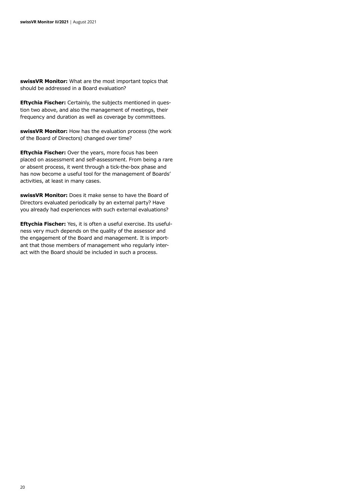**swissVR Monitor:** What are the most important topics that should be addressed in a Board evaluation?

**Eftychia Fischer:** Certainly, the subjects mentioned in question two above, and also the management of meetings, their frequency and duration as well as coverage by committees.

**swissVR Monitor:** How has the evaluation process (the work of the Board of Directors) changed over time?

**Eftychia Fischer:** Over the years, more focus has been placed on assessment and self-assessment. From being a rare or absent process, it went through a tick-the-box phase and has now become a useful tool for the management of Boards' activities, at least in many cases.

**swissVR Monitor:** Does it make sense to have the Board of Directors evaluated periodically by an external party? Have you already had experiences with such external evaluations?

**Eftychia Fischer:** Yes, it is often a useful exercise. Its usefulness very much depends on the quality of the assessor and the engagement of the Board and management. It is important that those members of management who regularly interact with the Board should be included in such a process.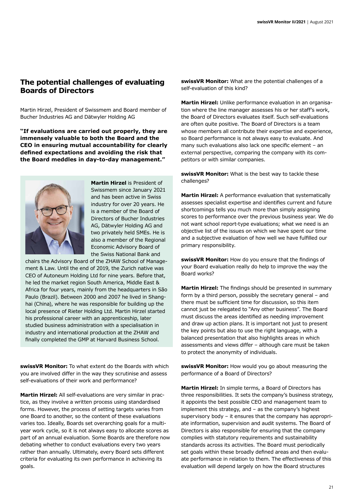### **The potential challenges of evaluating Boards of Directors**

Martin Hirzel, President of Swissmem and Board member of Bucher Industries AG and Dätwyler Holding AG

**"If evaluations are carried out properly, they are immensely valuable to both the Board and the CEO in ensuring mutual accountability for clearly defined expectations and avoiding the risk that the Board meddles in day-to-day management."**



**Martin Hirzel** is President of Swissmem since January 2021 and has been active in Swiss industry for over 20 years. He is a member of the Board of Directors of Bucher Industries AG, Dätwyler Holding AG and two privately held SMEs. He is also a member of the Regional Economic Advisory Board of the Swiss National Bank and

chairs the Advisory Board of the ZHAW School of Management & Law. Until the end of 2019, the Zurich native was CEO of Autoneum Holding Ltd for nine years. Before that, he led the market region South America, Middle East & Africa for four years, mainly from the headquarters in São Paulo (Brazil). Between 2000 and 2007 he lived in Shanghai (China), where he was responsible for building up the local presence of Rieter Holding Ltd. Martin Hirzel started his professional career with an apprenticeship, later studied business administration with a specialisation in industry and international production at the ZHAW and finally completed the GMP at Harvard Business School.

**swissVR Monitor:** To what extent do the Boards with which you are involved differ in the way they scrutinise and assess self-evaluations of their work and performance?

**Martin Hirzel:** All self-evaluations are very similar in practice, as they involve a written process using standardised forms. However, the process of setting targets varies from one Board to another, so the content of these evaluations varies too. Ideally, Boards set overarching goals for a multiyear work cycle, so it is not always easy to allocate scores as part of an annual evaluation. Some Boards are therefore now debating whether to conduct evaluations every two years rather than annually. Ultimately, every Board sets different criteria for evaluating its own performance in achieving its goals.

**swissVR Monitor:** What are the potential challenges of a self-evaluation of this kind?

**Martin Hirzel:** Unlike performance evaluation in an organisation where the line manager assesses his or her staff's work, the Board of Directors evaluates itself. Such self-evaluations are often quite positive. The Board of Directors is a team whose members all contribute their expertise and experience, so Board performance is not always easy to evaluate. And many such evaluations also lack one specific element – an external perspective, comparing the company with its competitors or with similar companies.

**swissVR Monitor:** What is the best way to tackle these challenges?

**Martin Hirzel:** A performance evaluation that systematically assesses specialist expertise and identifies current and future shortcomings tells you much more than simply assigning scores to performance over the previous business year. We do not want school report-type evaluations; what we need is an objective list of the issues on which we have spent our time and a subjective evaluation of how well we have fulfilled our primary responsibility.

**swissVR Monitor:** How do you ensure that the findings of your Board evaluation really do help to improve the way the Board works?

**Martin Hirzel:** The findings should be presented in summary form by a third person, possibly the secretary general – and there must be sufficient time for discussion, so this item cannot just be relegated to "Any other business". The Board must discuss the areas identified as needing improvement and draw up action plans. It is important not just to present the key points but also to use the right language, with a balanced presentation that also highlights areas in which assessments and views differ – although care must be taken to protect the anonymity of individuals.

**swissVR Monitor:** How would you go about measuring the performance of a Board of Directors?

**Martin Hirzel:** In simple terms, a Board of Directors has three responsibilities. It sets the company's business strategy, it appoints the best possible CEO and management team to implement this strategy, and – as the company's highest supervisory body – it ensures that the company has appropriate information, supervision and audit systems. The Board of Directors is also responsible for ensuring that the company complies with statutory requirements and sustainability standards across its activities. The Board must periodically set goals within these broadly defined areas and then evaluate performance in relation to them. The effectiveness of this evaluation will depend largely on how the Board structures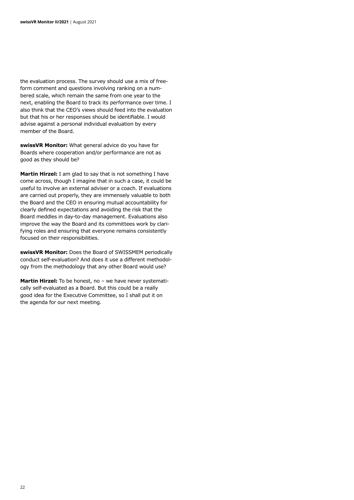the evaluation process. The survey should use a mix of freeform comment and questions involving ranking on a numbered scale, which remain the same from one year to the next, enabling the Board to track its performance over time. I also think that the CEO's views should feed into the evaluation but that his or her responses should be identifiable. I would advise against a personal individual evaluation by every member of the Board.

**swissVR Monitor:** What general advice do you have for Boards where cooperation and/or performance are not as good as they should be?

**Martin Hirzel:** I am glad to say that is not something I have come across, though I imagine that in such a case, it could be useful to involve an external adviser or a coach. If evaluations are carried out properly, they are immensely valuable to both the Board and the CEO in ensuring mutual accountability for clearly defined expectations and avoiding the risk that the Board meddles in day-to-day management. Evaluations also improve the way the Board and its committees work by clarifying roles and ensuring that everyone remains consistently focused on their responsibilities.

**swissVR Monitor:** Does the Board of SWISSMEM periodically conduct self-evaluation? And does it use a different methodology from the methodology that any other Board would use?

**Martin Hirzel:** To be honest, no – we have never systematically self-evaluated as a Board. But this could be a really good idea for the Executive Committee, so I shall put it on the agenda for our next meeting.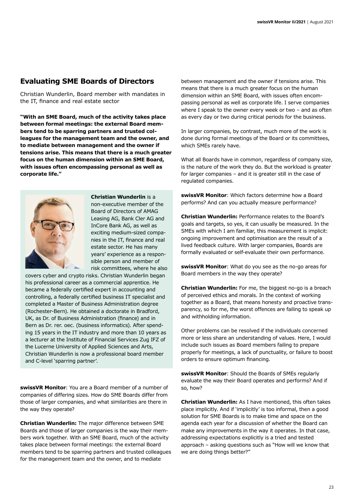## **Evaluating SME Boards of Directors**

Christian Wunderlin, Board member with mandates in the IT, finance and real estate sector

**"With an SME Board, much of the activity takes place between formal meetings: the external Board members tend to be sparring partners and trusted colleagues for the management team and the owner, and to mediate between management and the owner if tensions arise. This means that there is a much greater focus on the human dimension within an SME Board, with issues often encompassing personal as well as corporate life."**



**Christian Wunderlin** is a non-executive member of the Board of Directors of AMAG Leasing AG, Bank Cler AG and InCore Bank AG, as well as exciting medium-sized companies in the IT, finance and real estate sector. He has many years' experience as a responsible person and member of risk committees, where he also

covers cyber and crypto risks. Christian Wunderlin began his professional career as a commercial apprentice. He became a federally certified expert in accounting and controlling, a federally certified business IT specialist and completed a Master of Business Administration degree (Rochester-Bern). He obtained a doctorate in Bradford, UK, as Dr. of Business Administration (finance) and in Bern as Dr. rer. oec. (business informatics). After spending 15 years in the IT industry and more than 10 years as a lecturer at the Institute of Financial Services Zug IFZ of the Lucerne University of Applied Sciences and Arts, Christian Wunderlin is now a professional board member and C-level 'sparring partner'.

**swissVR Monitor**: You are a Board member of a number of companies of differing sizes. How do SME Boards differ from those of larger companies, and what similarities are there in the way they operate?

**Christian Wunderlin:** The major difference between SME Boards and those of larger companies is the way their members work together. With an SME Board, much of the activity takes place between formal meetings: the external Board members tend to be sparring partners and trusted colleagues for the management team and the owner, and to mediate

between management and the owner if tensions arise. This means that there is a much greater focus on the human dimension within an SME Board, with issues often encompassing personal as well as corporate life. I serve companies where I speak to the owner every week or two – and as often as every day or two during critical periods for the business.

In larger companies, by contrast, much more of the work is done during formal meetings of the Board or its committees, which SMEs rarely have.

What all Boards have in common, regardless of company size, is the nature of the work they do. But the workload is greater for larger companies – and it is greater still in the case of regulated companies.

**swissVR Monitor**: Which factors determine how a Board performs? And can you actually measure performance?

**Christian Wunderlin:** Performance relates to the Board's goals and targets, so yes, it can usually be measured. In the SMEs with which I am familiar, this measurement is implicit: ongoing improvement and optimisation are the result of a lived feedback culture. With larger companies, Boards are formally evaluated or self-evaluate their own performance.

**swissVR Monitor**: What do you see as the no-go areas for Board members in the way they operate?

**Christian Wunderlin:** For me, the biggest no-go is a breach of perceived ethics and morals. In the context of working together as a Board, that means honesty and proactive transparency, so for me, the worst offences are failing to speak up and withholding information.

Other problems can be resolved if the individuals concerned more or less share an understanding of values. Here, I would include such issues as Board members failing to prepare properly for meetings, a lack of punctuality, or failure to boost orders to ensure optimum financing.

**swissVR Monitor**: Should the Boards of SMEs regularly evaluate the way their Board operates and performs? And if so, how?

**Christian Wunderlin:** As I have mentioned, this often takes place implicitly. And if 'implicitly' is too informal, then a good solution for SME Boards is to make time and space on the agenda each year for a discussion of whether the Board can make any improvements in the way it operates. In that case, addressing expectations explicitly is a tried and tested approach – asking questions such as "How will we know that we are doing things better?"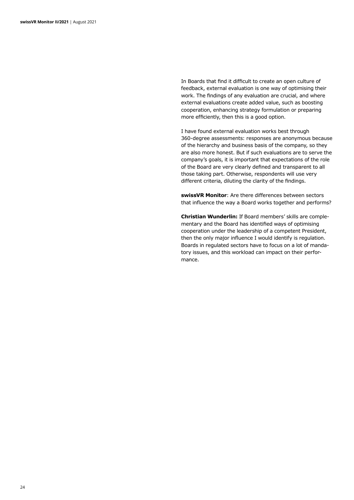In Boards that find it difficult to create an open culture of feedback, external evaluation is one way of optimising their work. The findings of any evaluation are crucial, and where external evaluations create added value, such as boosting cooperation, enhancing strategy formulation or preparing more efficiently, then this is a good option.

I have found external evaluation works best through 360-degree assessments: responses are anonymous because of the hierarchy and business basis of the company, so they are also more honest. But if such evaluations are to serve the company's goals, it is important that expectations of the role of the Board are very clearly defined and transparent to all those taking part. Otherwise, respondents will use very different criteria, diluting the clarity of the findings.

**swissVR Monitor**: Are there differences between sectors that influence the way a Board works together and performs?

**Christian Wunderlin:** If Board members' skills are complementary and the Board has identified ways of optimising cooperation under the leadership of a competent President, then the only major influence I would identify is regulation. Boards in regulated sectors have to focus on a lot of mandatory issues, and this workload can impact on their performance.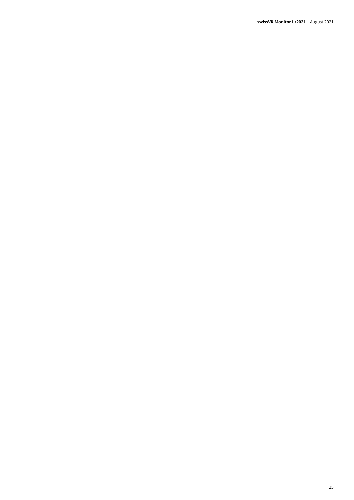**swissVR Monitor II/2021** | August 2021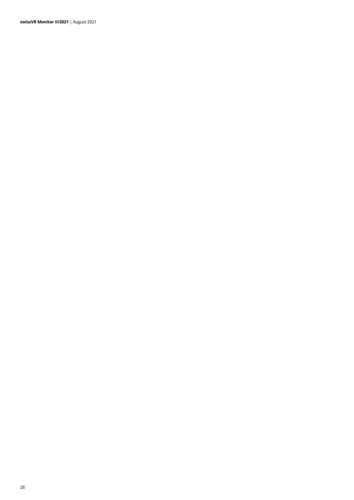**swissVR Monitor II/2021** | August 2021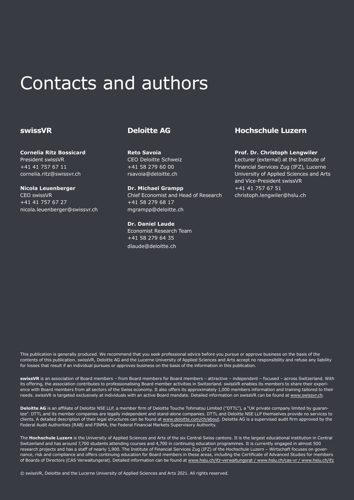# Contacts and authors

### **swissVR**

**Cornelia Ritz Bossicard** President swissVR +41 41 757 67 11 cornelia.ritz@swissvr.ch

**Nicola Leuenberger** CEO swissVR +41 41 757 67 27 nicola.leuenberger@swissvr.ch

### **Deloitte AG**

**Reto Savoia** CEO Deloitte Schweiz +41 58 279 60 00 rsavoia@deloitte.ch

**Dr. Michael Grampp** Chief Economist and Head of Research +41 58 279 68 17 mgrampp@deloitte.ch

**Dr. Daniel Laude** Economist Research Team +41 58 279 64 35 dlaude@deloitte.ch

## **Hochschule Luzern**

**Prof. Dr. Christoph Lengwiler**

Lecturer (external) at the Institute of Financial Services Zug (IFZ), Lucerne University of Applied Sciences and Arts and Vice-President swissVR +41 41 757 67 51 christoph.lengwiler@hslu.ch

This publication is generally produced. We recommend that you seek professional advice before you pursue or approve business on the basis of the contents of this publication. swissVR, Deloitte AG and the Lucerne University of Applied Sciences and Arts accept no responsibility and refuse any liability for losses that result if an individual pursues or approves business on the basis of the information in this publication.

**swissVR** is an association of Board members – from Board members for Board members – attractive – independent – focused – across Switzerland. With its offering, the association contributes to professionalising Board member activities in Switzerland. swissVR enables its members to share their experience with Board members from all sectors of the Swiss economy. It also offers its approximately 1,000 members information and training tailored to their needs. swissVR is targeted exclusively at individuals with an active Board mandate. Detailed information on swissVR can be found at [www.swissvr.ch.](http://www.swissvr.ch)

Deloitte AG is an affiliate of Deloitte NSE LLP, a member firm of Deloitte Touche Tohmatsu Limited ("DTTL"), a "UK private company limited by guarantee". DTTL and its member companies are legally independent and stand-alone companies. DTTL and Deloitte NSE LLP themselves provide no services to clients. A detailed description of their legal structures can be found at [www.deloitte.com/ch/about](http://www.deloitte.com/ch/about). Deloitte AG is a supervised audit firm approved by the Federal Audit Authorities (RAB) and FINMA, the Federal Financial Markets Supervisory Authority.

The **Hochschule Luzern** is the University of Applied Sciences and Arts of the six Central Swiss cantons. It is the largest educational institution in Central Switzerland and has around 7,700 students attending courses and 4,700 in continuing education programmes. It is currently engaged in almost 500 research projects and has a staff of nearly 1,900. The Institute of Financial Services Zug (IFZ) of the Hochschule Luzern – Wirtschaft focuses on governance, risk and compliance and offers continuing education for Board members in these areas, including the Certificate of Advanced Studies for members of Boards of Directors (CAS Verwaltungsrat). Detailed information can be found at [www.hslu.ch/ifz-verwaltungsrat](http://www.hslu.ch/ifz-verwaltungsrat) / [www.hslu.ch/cas-vr](http://www.hslu.ch/cas-vr) / [www.hslu.ch/ifz](http://www.hslu.ch/ifz)

© swissVR, Deloitte and the Lucerne University of Applied Sciences and Arts 2021. All rights reserved.